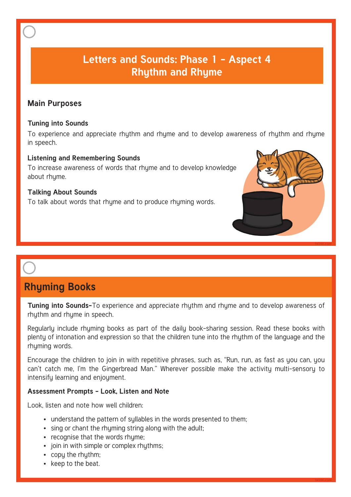## **Letters and Sounds: Phase 1 - Aspect 4 Rhythm and Rhyme**

### **Main Purposes**

#### **Tuning into Sounds**

To experience and appreciate rhythm and rhyme and to develop awareness of rhythm and rhyme in speech.

#### **Listening and Remembering Sounds**

To increase awareness of words that rhyme and to develop knowledge about rhyme.

#### **Talking About Sounds**

To talk about words that rhyme and to produce rhyming words.



**twinkl.com**

# **Rhyming Books**

**Tuning into Sounds-**To experience and appreciate rhythm and rhyme and to develop awareness of rhythm and rhyme in speech.

Regularly include rhyming books as part of the daily book-sharing session. Read these books with plenty of intonation and expression so that the children tune into the rhythm of the language and the rhyming words.

Encourage the children to join in with repetitive phrases, such as, "Run, run, as fast as you can, you can't catch me, I'm the Gingerbread Man." Wherever possible make the activity multi-sensory to intensify learning and enjoyment.

#### **Assessment Prompts - Look, Listen and Note**

- understand the pattern of syllables in the words presented to them;
- sing or chant the rhyming string along with the adult;
- recognise that the words rhyme;
- join in with simple or complex rhythms;
- copy the rhythm;
- keep to the beat.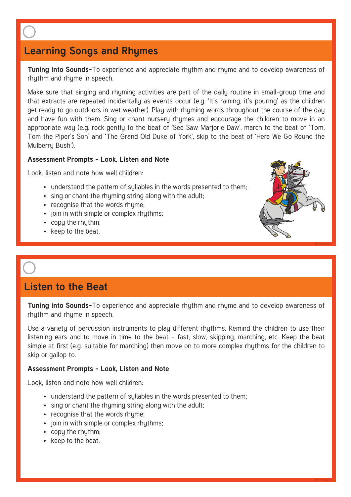## **Learning Songs and Rhymes**

**Tuning into Sounds-**To experience and appreciate rhythm and rhyme and to develop awareness of rhythm and rhyme in speech.

Make sure that singing and rhyming activities are part of the daily routine in small-group time and that extracts are repeated incidentally as events occur (e.g. 'It's raining, it's pouring' as the children get ready to go outdoors in wet weather). Play with rhyming words throughout the course of the day and have fun with them. Sing or chant nursery rhymes and encourage the children to move in an appropriate way (e.g. rock gently to the beat of 'See Saw Marjorie Daw', march to the beat of 'Tom, Tom the Piper's Son' and 'The Grand Old Duke of York', skip to the beat of 'Here We Go Round the Mulberry Bush').

#### **Assessment Prompts - Look, Listen and Note**

Look, listen and note how well children:

- understand the pattern of syllables in the words presented to them;
- sing or chant the rhyming string along with the adult;
- recognise that the words rhyme;
- join in with simple or complex rhythms;
- copy the rhythm;
- keep to the beat.



**Tuning into Sounds-**To experience and appreciate rhythm and rhyme and to develop awareness of rhythm and rhyme in speech.

**twinkl.com**

Use a variety of percussion instruments to play different rhythms. Remind the children to use their listening ears and to move in time to the beat – fast, slow, skipping, marching, etc. Keep the beat simple at first (e.g. suitable for marching) then move on to more complex rhythms for the children to skip or gallop to.

#### **Assessment Prompts - Look, Listen and Note**

- understand the pattern of syllables in the words presented to them;
- sing or chant the rhyming string along with the adult;
- recognise that the words rhume:
- join in with simple or complex rhuthms:
- copy the rhythm:
- keep to the beat.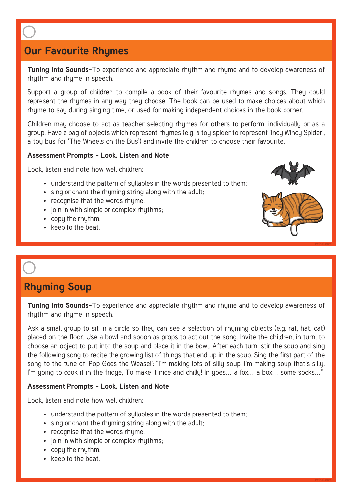## **Our Favourite Rhymes**

**Tuning into Sounds-**To experience and appreciate rhythm and rhyme and to develop awareness of rhythm and rhyme in speech.

Support a group of children to compile a book of their favourite rhymes and songs. They could represent the rhymes in any way they choose. The book can be used to make choices about which rhyme to say during singing time, or used for making independent choices in the book corner.

Children may choose to act as teacher selecting rhymes for others to perform, individually or as a group. Have a bag of objects which represent rhymes (e.g. a tou spider to represent 'Incu Wincu Spider', a tou bus for 'The Wheels on the Bus') and invite the children to choose their favourite.

#### **Assessment Prompts - Look, Listen and Note**

Look, listen and note how well children:

- understand the pattern of syllables in the words presented to them;
- sing or chant the rhyming string along with the adult;
- recognise that the words rhume:
- join in with simple or complex rhythms;
- copy the rhythm:
- keep to the beat.



**twinkl.com**

## **Rhyming Soup**

**Tuning into Sounds-**To experience and appreciate rhythm and rhyme and to develop awareness of rhythm and rhyme in speech.

Ask a small group to sit in a circle so they can see a selection of rhyming objects (e.g. rat, hat, cat) placed on the floor. Use a bowl and spoon as props to act out the song. Invite the children, in turn, to choose an object to put into the soup and place it in the bowl. After each turn, stir the soup and sing the following song to recite the growing list of things that end up in the soup. Sing the first part of the song to the tune of 'Pop Goes the Weasel': "I'm making lots of silly soup, I'm making soup that's silly. I'm going to cook it in the fridge. To make it nice and chillu! In goes... a fox... a box... some socks..."

#### **Assessment Prompts - Look, Listen and Note**

- understand the pattern of syllables in the words presented to them;
- sing or chant the rhuming string along with the adult:
- recognise that the words rhume:
- join in with simple or complex rhuthms:
- copy the rhythm;
- keep to the beat.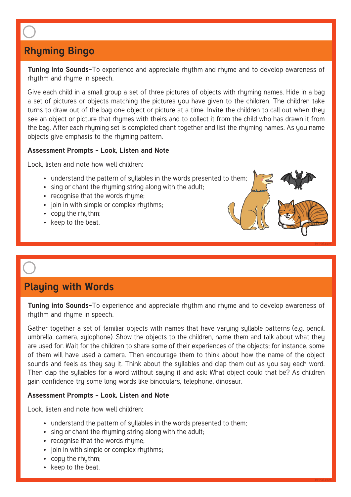## **Rhyming Bingo**

**Tuning into Sounds-**To experience and appreciate rhythm and rhyme and to develop awareness of rhythm and rhyme in speech.

Give each child in a small group a set of three pictures of objects with rhyming names. Hide in a bag a set of pictures or objects matching the pictures you have given to the children. The children take turns to draw out of the bag one object or picture at a time. Invite the children to call out when they see an object or picture that rhymes with theirs and to collect it from the child who has drawn it from the bag. After each rhyming set is completed chant together and list the rhyming names. As you name objects give emphasis to the rhyming pattern.

### **Assessment Prompts - Look, Listen and Note**

Look, listen and note how well children:

- understand the pattern of sullables in the words presented to them;
- sing or chant the rhyming string along with the adult;
- recognise that the words rhyme;
- join in with simple or complex rhythms;
- copy the rhythm;
- keep to the beat.

## **Playing with Words**

**Tuning into Sounds-**To experience and appreciate rhythm and rhyme and to develop awareness of rhythm and rhyme in speech.

**twinkl.com**

Gather together a set of familiar objects with names that have varuing sullable patterns (e.g. pencil, umbrella, camera, xylophone). Show the objects to the children, name them and talk about what they are used for. Wait for the children to share some of their experiences of the objects; for instance, some of them will have used a camera. Then encourage them to think about how the name of the object sounds and feels as they say it. Think about the syllables and clap them out as you say each word. Then clap the syllables for a word without saying it and ask: What object could that be? As children gain confidence try some long words like binoculars, telephone, dinosaur.

### **Assessment Prompts - Look, Listen and Note**

- understand the pattern of sullables in the words presented to them:
- sing or chant the rhuming string along with the adult:
- recognise that the words rhyme;
- join in with simple or complex rhythms;
- copy the rhythm:
- keep to the beat.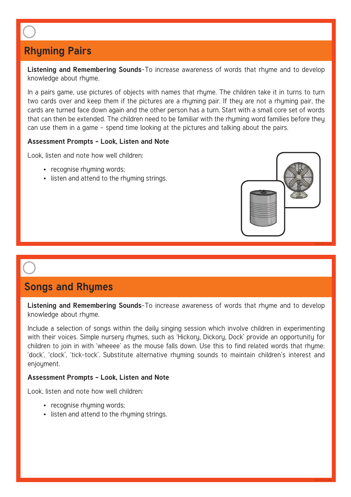## **Rhyming Pairs**

**Listening and Remembering Sounds**-To increase awareness of words that rhyme and to develop knowledge about rhyme.

In a pairs game, use pictures of objects with names that rhyme. The children take it in turns to turn two cards over and keep them if the pictures are a rhyming pair. If they are not a rhyming pair, the cards are turned face down again and the other person has a turn. Start with a small core set of words that can then be extended. The children need to be familiar with the rhyming word families before they can use them in a game – spend time looking at the pictures and talking about the pairs.

#### **Assessment Prompts - Look, Listen and Note**

Look, listen and note how well children:

- recognise rhyming words;
- listen and attend to the rhyming strings.



## **Songs and Rhymes**

**Listening and Remembering Sounds**-To increase awareness of words that rhyme and to develop knowledge about rhyme.

Include a selection of songs within the daily singing session which involve children in experimenting with their voices. Simple nursery rhymes, such as 'Hickory, Dickory, Dock' provide an opportunity for children to join in with 'wheeee' as the mouse falls down. Use this to find related words that rhyme: 'dock', 'clock', 'tick-tock'. Substitute alternative rhyming sounds to maintain children's interest and enjoument.

#### **Assessment Prompts - Look, Listen and Note**

- recognise rhyming words;
- listen and attend to the rhyming strings.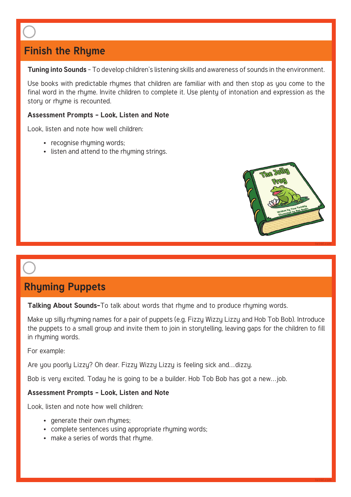## **Finish the Rhyme**

**Tuning into Sounds** - To develop children's listening skills and awareness of sounds in the environment.

Use books with predictable rhymes that children are familiar with and then stop as you come to the final word in the rhyme. Invite children to complete it. Use plenty of intonation and expression as the story or rhyme is recounted.

#### **Assessment Prompts - Look, Listen and Note**

Look, listen and note how well children:

- recognise rhyming words;
- listen and attend to the rhyming strings.



**twinkl.com**

## **Rhyming Puppets**

**Talking About Sounds-**To talk about words that rhyme and to produce rhyming words.

Make up silly rhyming names for a pair of puppets (e.g. Fizzy Wizzy Lizzy and Hob Tob Bob). Introduce the puppets to a small group and invite them to join in storytelling, leaving gaps for the children to fill in rhyming words.

For example:

Are you poorly Lizzy? Oh dear. Fizzy Wizzy Lizzy is feeling sick and…dizzy.

Bob is very excited. Today he is going to be a builder. Hob Tob Bob has got a new…job.

#### **Assessment Prompts - Look, Listen and Note**

- generate their own rhumes:
- complete sentences using appropriate rhyming words;
- make a series of words that rhume.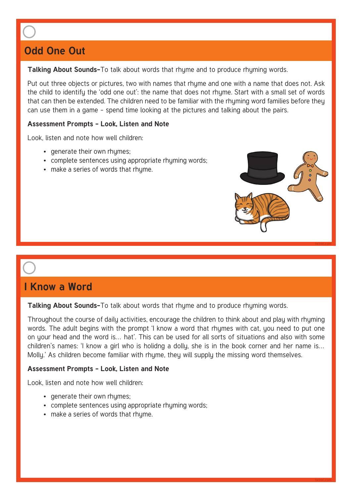## **Odd One Out**

#### **Talking About Sounds-**To talk about words that rhyme and to produce rhyming words.

Put out three objects or pictures, two with names that rhyme and one with a name that does not. Ask the child to identify the 'odd one out': the name that does not rhyme. Start with a small set of words that can then be extended. The children need to be familiar with the rhyming word families before they can use them in a game – spend time looking at the pictures and talking about the pairs.

### **Assessment Prompts - Look, Listen and Note**

Look, listen and note how well children:

- generate their own rhymes;
- complete sentences using appropriate rhyming words;
- make a series of words that rhyme.



**twinkl.com**

## **I Know a Word**

**Talking About Sounds-**To talk about words that rhyme and to produce rhyming words.

Throughout the course of daily activities, encourage the children to think about and play with rhyming words. The adult begins with the prompt 'I know a word that rhymes with cat, you need to put one on your head and the word is… hat'. This can be used for all sorts of situations and also with some children's names: 'I know a girl who is holidng a dolly, she is in the book corner and her name is… Molly.' As children become familiar with rhyme, they will supply the missing word themselves.

### **Assessment Prompts - Look, Listen and Note**

- generate their own rhymes;
- complete sentences using appropriate rhyming words;
- make a series of words that rhume.